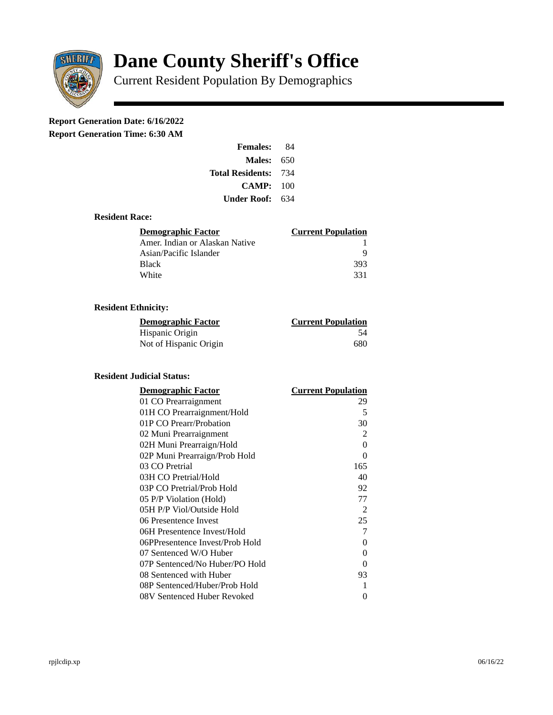

# **Dane County Sheriff's Office**

Current Resident Population By Demographics

# **Report Generation Date: 6/16/2022**

**Report Generation Time: 6:30 AM** 

| <b>Females:</b>         | 84  |
|-------------------------|-----|
| Males:                  | 650 |
| <b>Total Residents:</b> | 734 |
| CAMP:                   | 100 |
| Under Roof:             | 634 |

#### **Resident Race:**

| Demographic Factor             | <b>Current Population</b> |
|--------------------------------|---------------------------|
| Amer. Indian or Alaskan Native |                           |
| Asian/Pacific Islander         | q                         |
| Black                          | 393                       |
| White                          | 331                       |

# **Resident Ethnicity:**

| <u>Demographic Factor</u> | <u>Current Population</u> |
|---------------------------|---------------------------|
| Hispanic Origin           | 54                        |
| Not of Hispanic Origin    | 680                       |

## **Resident Judicial Status:**

| <b>Demographic Factor</b>       | <b>Current Population</b> |
|---------------------------------|---------------------------|
| 01 CO Prearraignment            | 29                        |
| 01H CO Prearraignment/Hold      | 5                         |
| 01P CO Prearr/Probation         | 30                        |
| 02 Muni Prearraignment          | 2                         |
| 02H Muni Prearraign/Hold        | $\Omega$                  |
| 02P Muni Prearraign/Prob Hold   | 0                         |
| 03 CO Pretrial                  | 165                       |
| 03H CO Pretrial/Hold            | 40                        |
| 03P CO Pretrial/Prob Hold       | 92                        |
| 05 P/P Violation (Hold)         | 77                        |
| 05H P/P Viol/Outside Hold       | 2                         |
| 06 Presentence Invest           | 25                        |
| 06H Presentence Invest/Hold     | 7                         |
| 06PPresentence Invest/Prob Hold | 0                         |
| 07 Sentenced W/O Huber          | 0                         |
| 07P Sentenced/No Huber/PO Hold  | 0                         |
| 08 Sentenced with Huber         | 93                        |
| 08P Sentenced/Huber/Prob Hold   | 1                         |
| 08V Sentenced Huber Revoked     | 0                         |